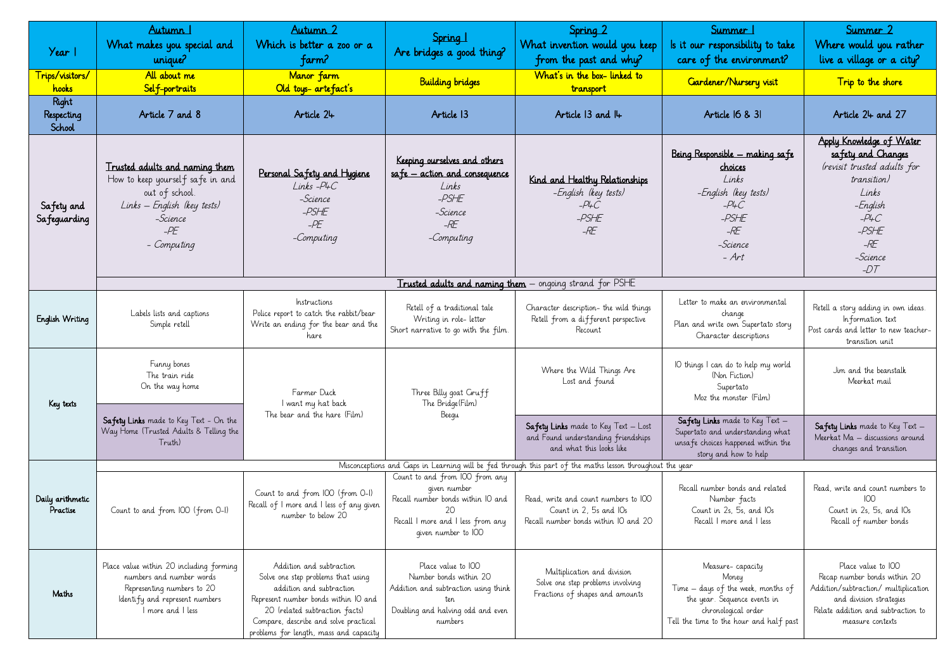| Year 1                        | Autumn 1<br>What makes you special and<br>unique?                                                                                                        | Autumn 2<br>Which is better a zoo or a<br>farm?                                                                                                                                                                                                         | Spring 1<br>Are bridges a good thing?                                                                                                           | Spring 2<br>What invention would you keep<br>from the past and why?<br>What's in the box-linked to             | Summer 1<br>Is it our responsibility to take<br>care of the environment?                                                                                          | Summer 2<br>Where would you rather<br>live a village or a city?                                                                                                                 |  |  |
|-------------------------------|----------------------------------------------------------------------------------------------------------------------------------------------------------|---------------------------------------------------------------------------------------------------------------------------------------------------------------------------------------------------------------------------------------------------------|-------------------------------------------------------------------------------------------------------------------------------------------------|----------------------------------------------------------------------------------------------------------------|-------------------------------------------------------------------------------------------------------------------------------------------------------------------|---------------------------------------------------------------------------------------------------------------------------------------------------------------------------------|--|--|
| Trips/visitors/<br>hooks      | All about me<br>Self-portraits                                                                                                                           | Manor farm<br>Old toys-artefact's                                                                                                                                                                                                                       | <b>Building bridges</b>                                                                                                                         | transport                                                                                                      | Gardener/Nursery visit                                                                                                                                            | Trip to the shore                                                                                                                                                               |  |  |
| Right<br>Respecting<br>School | Article 7 and 8                                                                                                                                          | Article 24                                                                                                                                                                                                                                              | Article 13                                                                                                                                      | Article $13$ and $II$ +                                                                                        | Article 16 & 31                                                                                                                                                   | Article 24 and 27                                                                                                                                                               |  |  |
| Safety and<br>Safeguarding    | Trusted adults and naming them<br>How to keep yourself safe in and<br>out of school.<br>Links – English (key tests)<br>-Science<br>$-PE$<br>- Computing  | Personal Safety and Hygiene<br>$Links - P4C$<br>-Science<br>$-PSHE$<br>$-PE$<br>-Computing                                                                                                                                                              | Keeping ourselves and others<br>safe – action and consequence<br>Links<br>$-PSHE$<br>-Science<br>$-RE$<br>-Computing                            | Kind and Healthy Relationships<br>-English (key tests)<br>$-PLC$<br>$-PSHE$<br>$-RE$                           | Being Responsible - making safe<br>choices<br>Links<br>-English (key tests)<br>$-$ P4C<br>$-PSHE$<br>$-RE$<br>-Science<br>$-Art$                                  | Apply Knowledge of Water<br>safety and Changes<br>(revisit trusted adults for<br>transition)<br>Links<br>– English<br>$-PLC$<br>$-PSHE$<br>$-RE$<br>-Science<br>$-DT$           |  |  |
|                               |                                                                                                                                                          |                                                                                                                                                                                                                                                         |                                                                                                                                                 | <b>Trusted adults and naming them</b> – ongoing strand for PSHE                                                |                                                                                                                                                                   |                                                                                                                                                                                 |  |  |
| English Writing               | Labels lists and captions<br>Simple retell                                                                                                               | Instructions<br>Police report to catch the rabbit/bear<br>Write an ending for the bear and the<br>hare                                                                                                                                                  | Retell of a traditional tale<br>Writing in role- letter<br>Short narrative to go with the film.                                                 | Character description- the wild things<br>Retell from a different perspective<br>Recount                       | Letter to make an environmental<br>change<br>Plan and write own Supertato story<br>Character descriptions                                                         | Retell a story adding in own ideas.<br>Information text<br>Post cards and letter to new teacher-<br>transition unit                                                             |  |  |
| Key texts                     | Funny bones<br>The train ride<br>On the way home                                                                                                         | Farmer Duck<br>I want my hat back<br>The bear and the hare (Film)                                                                                                                                                                                       | Three Billy goat Gruff<br>The Bridge (Film)<br>Beequ                                                                                            | Where the Wild Things Are<br>Lost and found                                                                    | IO things I can do to help my world<br>(Non Fiction)<br>Supertato<br>Moz the monster (Film)                                                                       | Jim and the beanstalk<br>Meerkat mail                                                                                                                                           |  |  |
|                               | Safety Links made to Key Text - On the<br>Way Home (Trusted Adults & Telling the<br>Truth)                                                               |                                                                                                                                                                                                                                                         |                                                                                                                                                 | <b>Safety Links</b> made to Key Text - Lost<br>and Found understanding friendships<br>and what this looks like | <b>Safety Links</b> made to Key Text -<br>Supertato and understanding what<br>unsafe choices happened within the<br>story and how to help                         | Safety Links made to Key Text -<br>Meerkat Ma - discussions around<br>changes and transition                                                                                    |  |  |
|                               | Misconceptions and Gaps in Learning will be fed through this part of the maths lesson throughout the year                                                |                                                                                                                                                                                                                                                         |                                                                                                                                                 |                                                                                                                |                                                                                                                                                                   |                                                                                                                                                                                 |  |  |
| Daily arithmetic<br>Practise  | Count to and from IOO (from O-I)                                                                                                                         | Count to and from IOO (from O-I)<br>Recall of I more and I less of any given<br>number to below 20                                                                                                                                                      | Count to and from IOO from any<br>given number<br>Recall number bonds within IO and<br>Recall I more and I less from any<br>given number to IOO | Read, write and count numbers to IOO<br>Count in 2, 5s and IOs<br>Recall number bonds within IO and 20         | Recall number bonds and related<br>Number facts<br>Count in 2s, 5s, and IOs<br>Recall I more and I less                                                           | Read, write and count numbers to<br>Count in 2s, 5s, and IOs<br>Recall of number bonds                                                                                          |  |  |
| Maths                         | Place value within 20 including forming<br>numbers and number words<br>Representing numbers to 20<br>Identify and represent numbers<br>I more and I less | Addition and subtraction<br>Solve one step problems that using<br>addition and subtraction<br>Represent number bonds within IO and<br>20 (related subtraction facts)<br>Compare, describe and solve practical<br>problems for length, mass and capacity | Place value to IOO<br>Number bonds within 20<br>Addition and subtraction using think<br>ten<br>Doubling and halving odd and even<br>numbers     | Multiplication and division<br>Solve one step problems involving<br>Fractions of shapes and amounts            | Measure-capacity<br>Money<br>Time – days of the week, months of<br>the year. Sequence events in<br>chronological order<br>Tell the time to the hour and half past | Place value to IOO<br>Recap number bonds within 20<br>Addition/subtraction/ multiplication<br>and division strategies<br>Relate addition and subtraction to<br>measure contexts |  |  |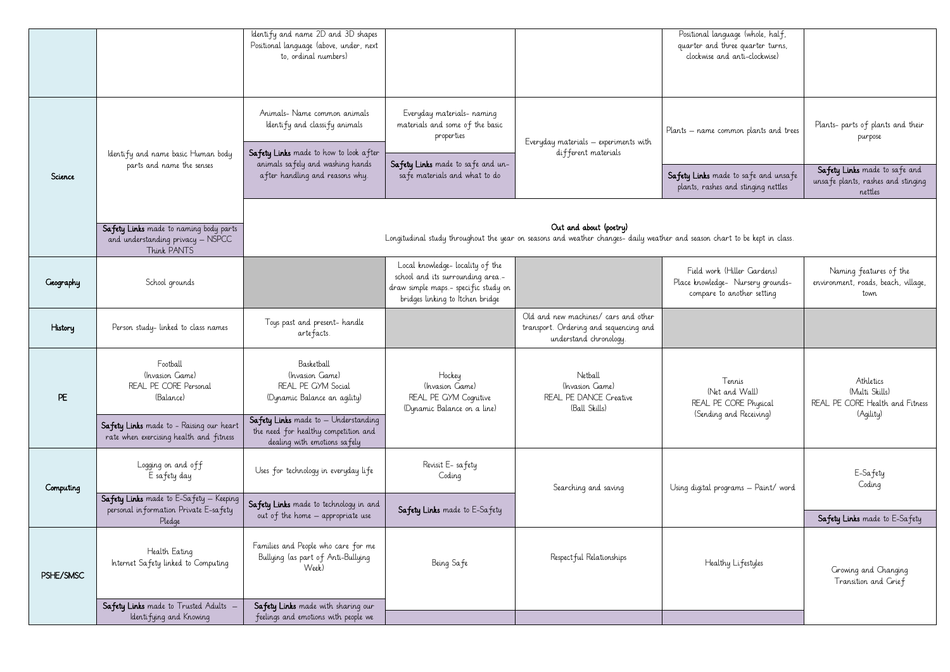|           |                                                                                            | Identify and name 2D and 3D shapes<br>Positional language (above, under, next<br>to, ordinal numbers)                                               |                                                                                                                                                  |                                                                                                          | Positional language (whole, half,<br>quarter and three quarter turns,<br>clockwise and anti-clockwise) |                                                                                |  |
|-----------|--------------------------------------------------------------------------------------------|-----------------------------------------------------------------------------------------------------------------------------------------------------|--------------------------------------------------------------------------------------------------------------------------------------------------|----------------------------------------------------------------------------------------------------------|--------------------------------------------------------------------------------------------------------|--------------------------------------------------------------------------------|--|
|           | Identify and name basic Human body<br>parts and name the senses                            | Animals- Name common animals<br>Identify and classify animals<br>Safety Links made to how to look after<br>animals safely and washing hands         | Everyday materials- naming<br>materials and some of the basic<br>properties<br>Safety Links made to safe and un-                                 | Everyday materials - experiments with<br>different materials                                             | Plants – name common plants and trees                                                                  | Plants- parts of plants and their<br>purpose                                   |  |
| Science   |                                                                                            | after handling and reasons why.                                                                                                                     | safe materials and what to do                                                                                                                    |                                                                                                          | Safety Links made to safe and unsafe<br>plants, rashes and stinging nettles                            | Safety Links made to safe and<br>unsafe plants, rashes and stinging<br>nettles |  |
|           | Safety Links made to naming body parts<br>and understanding privacy – NSPCC<br>Think PANTS | Out and about (poetry)<br>Longitudinal study throughout the year on seasons and weather changes-daily weather and season chart to be kept in class. |                                                                                                                                                  |                                                                                                          |                                                                                                        |                                                                                |  |
| Geography | School grounds                                                                             |                                                                                                                                                     | Local knowledge-locality of the<br>school and its surrounding area.-<br>draw simple maps - specific study on<br>bridges linking to Itchen bridge |                                                                                                          | Field work (Hiller Gardens)<br>Place knowledge- Nursery grounds-<br>compare to another setting         | Naming features of the<br>environment, roads, beach, village,<br>town          |  |
| History   | Person study-linked to class names                                                         | Toys past and present- handle<br>artefacts.                                                                                                         |                                                                                                                                                  | Old and new machines/ cars and other<br>transport. Ordering and sequencing and<br>understand chronology. |                                                                                                        |                                                                                |  |
| PE        | Football<br>(Invasion Game)<br>REAL PE CORE Personal<br>(Balance)                          | Basketball<br>(Invasion Game)<br>REAL PE GYM Social<br>(Dynamic Balance an agility)                                                                 | Hockey<br>(Invasion Game)<br>REAL PE GYM Cognitive<br>(Dynamic Balance on a line)                                                                | Netball<br>(Invasion Game)<br>REAL PE DANCE Creative<br>(Ball Skills)                                    | Tennis<br>(Net and Wall)<br>REAL PE CORE Physical                                                      | Athletics<br>(Multi Skills)<br>REAL PE CORE Health and Fitness                 |  |
|           | Safety Links made to - Raising our heart<br>rate when exercising health and fitness        | Safety Links made to - Understanding<br>the need for healthy competition and<br>dealing with emotions safely                                        |                                                                                                                                                  |                                                                                                          | (Sending and Receiving)                                                                                | (Agility)                                                                      |  |
| Computing | Logging on and off<br>E safety day                                                         | Uses for technology in everyday life                                                                                                                | Revisit E- safety<br>Coding                                                                                                                      | Searching and saving                                                                                     | Using digital programs - Paint/ word                                                                   | E-Safety<br>Coding                                                             |  |
|           | Safety Links made to E-Safety - Keeping<br>personal information Private E-safety<br>Pledge | Safety Links made to technology in and<br>out of the home - appropriate use                                                                         | Safety Links made to E-Safety                                                                                                                    |                                                                                                          |                                                                                                        | Safety Links made to E-Safety                                                  |  |
| PSHE/SMSC | Health Eating<br>Internet Safety linked to Computing                                       | Families and People who care for me<br>Bullying (as part of Anti-Bullying<br>Week)                                                                  | Being Safe                                                                                                                                       | Respect ful Relationships                                                                                | Healthy Lifestyles                                                                                     | Growing and Changing<br>Transition and Grief                                   |  |
|           | Safety Links made to Trusted Adults -<br>Identifying and Knowing                           | Safety Links made with sharing our<br>feelings and emotions with people we                                                                          |                                                                                                                                                  |                                                                                                          |                                                                                                        |                                                                                |  |